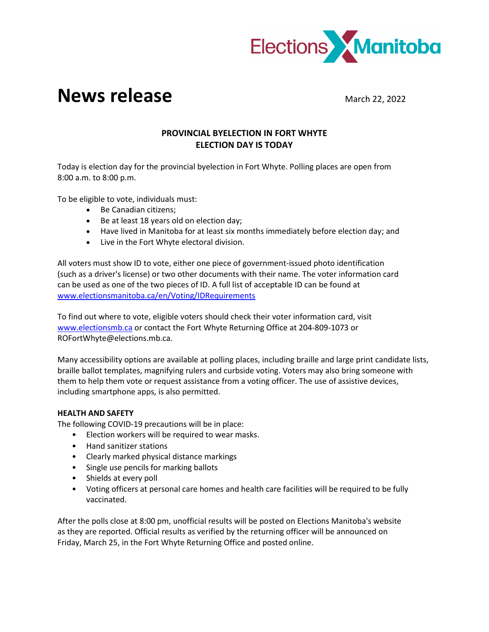

## **News release** March 22, 2022

## **PROVINCIAL BYELECTION IN FORT WHYTE ELECTION DAY IS TODAY**

Today is election day for the provincial byelection in Fort Whyte. Polling places are open from 8:00 a.m. to 8:00 p.m.

To be eligible to vote, individuals must:

- Be Canadian citizens;
- Be at least 18 years old on election day;
- Have lived in Manitoba for at least six months immediately before election day; and
- Live in the Fort Whyte electoral division.

All voters must show ID to vote, either one piece of government-issued photo identification (such as a driver's license) or two other documents with their name. The voter information card can be used as one of the two pieces of ID. A full list of acceptable ID can be found at [www.electionsmanitoba.ca/en/Voting/IDRequirements](http://www.electionsmanitoba.ca/en/Voting/IDRequirements)

To find out where to vote, eligible voters should check their voter information card, visit [www.electionsmb.ca](http://www.electionsmb.ca/) or contact the Fort Whyte Returning Office at 204-809-1073 or ROFortWhyte@elections.mb.ca.

Many accessibility options are available at polling places, including braille and large print candidate lists, braille ballot templates, magnifying rulers and curbside voting. Voters may also bring someone with them to help them vote or request assistance from a voting officer. The use of assistive devices, including smartphone apps, is also permitted.

## **HEALTH AND SAFETY**

The following COVID-19 precautions will be in place:

- Election workers will be required to wear masks.
- Hand sanitizer stations
- Clearly marked physical distance markings
- Single use pencils for marking ballots
- Shields at every poll
- Voting officers at personal care homes and health care facilities will be required to be fully vaccinated.

After the polls close at 8:00 pm, unofficial results will be posted on Elections Manitoba's website as they are reported. Official results as verified by the returning officer will be announced on Friday, March 25, in the Fort Whyte Returning Office and posted online.